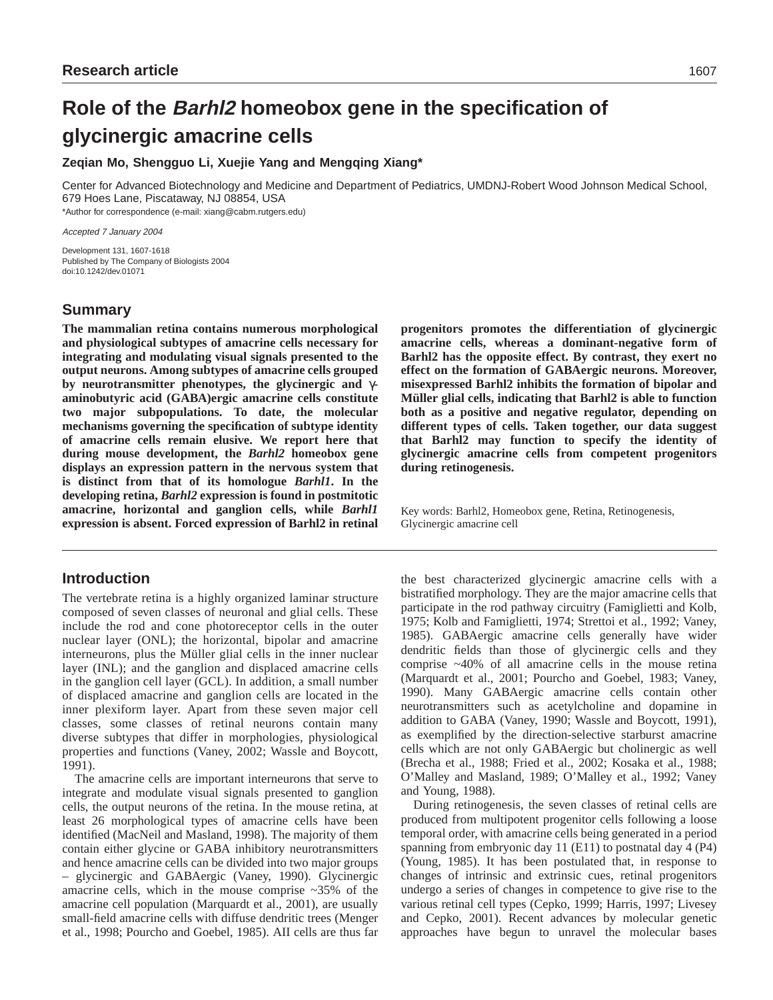# **Role of the Barhl2 homeobox gene in the specification of glycinergic amacrine cells**

## **Zeqian Mo, Shengguo Li, Xuejie Yang and Mengqing Xiang\***

Center for Advanced Biotechnology and Medicine and Department of Pediatrics, UMDNJ-Robert Wood Johnson Medical School, 679 Hoes Lane, Piscataway, NJ 08854, USA \*Author for correspondence (e-mail: xiang@cabm.rutgers.edu)

Accepted 7 January 2004

Development 131, 1607-1618 Published by The Company of Biologists 2004 doi:10.1242/dev.01071

# **Summary**

**The mammalian retina contains numerous morphological and physiological subtypes of amacrine cells necessary for integrating and modulating visual signals presented to the output neurons. Among subtypes of amacrine cells grouped by neurotransmitter phenotypes, the glycinergic and** γ**aminobutyric acid (GABA)ergic amacrine cells constitute two major subpopulations. To date, the molecular mechanisms governing the specification of subtype identity of amacrine cells remain elusive. We report here that during mouse development, the** *Barhl2* **homeobox gene displays an expression pattern in the nervous system that is distinct from that of its homologue** *Barhl1***. In the developing retina,** *Barhl2* **expression is found in postmitotic amacrine, horizontal and ganglion cells, while** *Barhl1* **expression is absent. Forced expression of Barhl2 in retinal**

# **Introduction**

The vertebrate retina is a highly organized laminar structure composed of seven classes of neuronal and glial cells. These include the rod and cone photoreceptor cells in the outer nuclear layer (ONL); the horizontal, bipolar and amacrine interneurons, plus the Müller glial cells in the inner nuclear layer (INL); and the ganglion and displaced amacrine cells in the ganglion cell layer (GCL). In addition, a small number of displaced amacrine and ganglion cells are located in the inner plexiform layer. Apart from these seven major cell classes, some classes of retinal neurons contain many diverse subtypes that differ in morphologies, physiological properties and functions (Vaney, 2002; Wassle and Boycott, 1991).

The amacrine cells are important interneurons that serve to integrate and modulate visual signals presented to ganglion cells, the output neurons of the retina. In the mouse retina, at least 26 morphological types of amacrine cells have been identified (MacNeil and Masland, 1998). The majority of them contain either glycine or GABA inhibitory neurotransmitters and hence amacrine cells can be divided into two major groups – glycinergic and GABAergic (Vaney, 1990). Glycinergic amacrine cells, which in the mouse comprise ~35% of the amacrine cell population (Marquardt et al., 2001), are usually small-field amacrine cells with diffuse dendritic trees (Menger et al., 1998; Pourcho and Goebel, 1985). AII cells are thus far

**progenitors promotes the differentiation of glycinergic amacrine cells, whereas a dominant-negative form of Barhl2 has the opposite effect. By contrast, they exert no effect on the formation of GABAergic neurons. Moreover, misexpressed Barhl2 inhibits the formation of bipolar and Müller glial cells, indicating that Barhl2 is able to function both as a positive and negative regulator, depending on different types of cells. Taken together, our data suggest that Barhl2 may function to specify the identity of glycinergic amacrine cells from competent progenitors during retinogenesis.**

Key words: Barhl2, Homeobox gene, Retina, Retinogenesis, Glycinergic amacrine cell

the best characterized glycinergic amacrine cells with a bistratified morphology. They are the major amacrine cells that participate in the rod pathway circuitry (Famiglietti and Kolb, 1975; Kolb and Famiglietti, 1974; Strettoi et al., 1992; Vaney, 1985). GABAergic amacrine cells generally have wider dendritic fields than those of glycinergic cells and they comprise ~40% of all amacrine cells in the mouse retina (Marquardt et al., 2001; Pourcho and Goebel, 1983; Vaney, 1990). Many GABAergic amacrine cells contain other neurotransmitters such as acetylcholine and dopamine in addition to GABA (Vaney, 1990; Wassle and Boycott, 1991), as exemplified by the direction-selective starburst amacrine cells which are not only GABAergic but cholinergic as well (Brecha et al., 1988; Fried et al., 2002; Kosaka et al., 1988; O'Malley and Masland, 1989; O'Malley et al., 1992; Vaney and Young, 1988).

During retinogenesis, the seven classes of retinal cells are produced from multipotent progenitor cells following a loose temporal order, with amacrine cells being generated in a period spanning from embryonic day 11 (E11) to postnatal day 4 (P4) (Young, 1985). It has been postulated that, in response to changes of intrinsic and extrinsic cues, retinal progenitors undergo a series of changes in competence to give rise to the various retinal cell types (Cepko, 1999; Harris, 1997; Livesey and Cepko, 2001). Recent advances by molecular genetic approaches have begun to unravel the molecular bases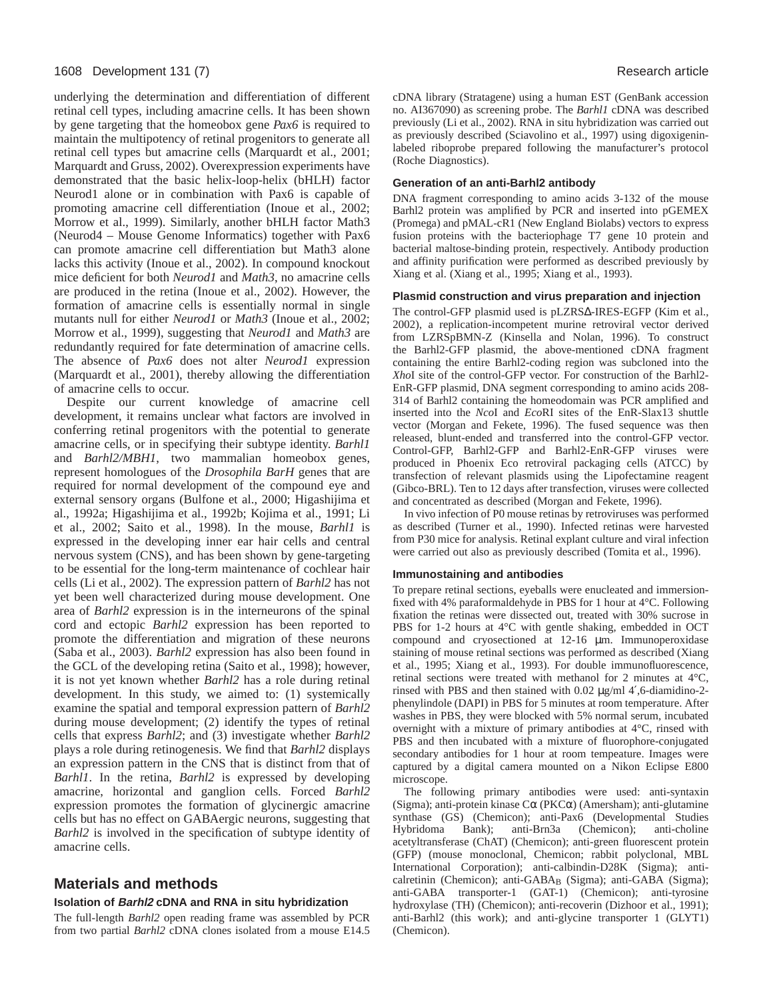#### 1608 Development 131 (7) Research article

underlying the determination and differentiation of different retinal cell types, including amacrine cells. It has been shown by gene targeting that the homeobox gene *Pax6* is required to maintain the multipotency of retinal progenitors to generate all retinal cell types but amacrine cells (Marquardt et al., 2001; Marquardt and Gruss, 2002). Overexpression experiments have demonstrated that the basic helix-loop-helix (bHLH) factor Neurod1 alone or in combination with Pax6 is capable of promoting amacrine cell differentiation (Inoue et al., 2002; Morrow et al., 1999). Similarly, another bHLH factor Math3 (Neurod4 – Mouse Genome Informatics) together with Pax6 can promote amacrine cell differentiation but Math3 alone lacks this activity (Inoue et al., 2002). In compound knockout mice deficient for both *Neurod1* and *Math3*, no amacrine cells are produced in the retina (Inoue et al., 2002). However, the formation of amacrine cells is essentially normal in single mutants null for either *Neurod1* or *Math3* (Inoue et al., 2002; Morrow et al., 1999), suggesting that *Neurod1* and *Math3* are redundantly required for fate determination of amacrine cells. The absence of *Pax6* does not alter *Neurod1* expression (Marquardt et al., 2001), thereby allowing the differentiation of amacrine cells to occur.

Despite our current knowledge of amacrine cell development, it remains unclear what factors are involved in conferring retinal progenitors with the potential to generate amacrine cells, or in specifying their subtype identity. *Barhl1* and *Barhl2/MBH1*, two mammalian homeobox genes, represent homologues of the *Drosophila BarH* genes that are required for normal development of the compound eye and external sensory organs (Bulfone et al., 2000; Higashijima et al., 1992a; Higashijima et al., 1992b; Kojima et al., 1991; Li et al., 2002; Saito et al., 1998). In the mouse, *Barhl1* is expressed in the developing inner ear hair cells and central nervous system (CNS), and has been shown by gene-targeting to be essential for the long-term maintenance of cochlear hair cells (Li et al., 2002). The expression pattern of *Barhl2* has not yet been well characterized during mouse development. One area of *Barhl2* expression is in the interneurons of the spinal cord and ectopic *Barhl2* expression has been reported to promote the differentiation and migration of these neurons (Saba et al., 2003). *Barhl2* expression has also been found in the GCL of the developing retina (Saito et al., 1998); however, it is not yet known whether *Barhl2* has a role during retinal development. In this study, we aimed to: (1) systemically examine the spatial and temporal expression pattern of *Barhl2* during mouse development; (2) identify the types of retinal cells that express *Barhl2*; and (3) investigate whether *Barhl2* plays a role during retinogenesis. We find that *Barhl2* displays an expression pattern in the CNS that is distinct from that of *Barhl1*. In the retina, *Barhl2* is expressed by developing amacrine, horizontal and ganglion cells. Forced *Barhl2* expression promotes the formation of glycinergic amacrine cells but has no effect on GABAergic neurons, suggesting that *Barhl2* is involved in the specification of subtype identity of amacrine cells.

# **Materials and methods**

# **Isolation of Barhl2 cDNA and RNA in situ hybridization**

The full-length *Barhl2* open reading frame was assembled by PCR from two partial *Barhl2* cDNA clones isolated from a mouse E14.5 cDNA library (Stratagene) using a human EST (GenBank accession no. AI367090) as screening probe. The *Barhl1* cDNA was described previously (Li et al., 2002). RNA in situ hybridization was carried out as previously described (Sciavolino et al., 1997) using digoxigeninlabeled riboprobe prepared following the manufacturer's protocol (Roche Diagnostics).

## **Generation of an anti-Barhl2 antibody**

DNA fragment corresponding to amino acids 3-132 of the mouse Barhl2 protein was amplified by PCR and inserted into pGEMEX (Promega) and pMAL-cR1 (New England Biolabs) vectors to express fusion proteins with the bacteriophage T7 gene 10 protein and bacterial maltose-binding protein, respectively. Antibody production and affinity purification were performed as described previously by Xiang et al. (Xiang et al., 1995; Xiang et al., 1993).

## **Plasmid construction and virus preparation and injection**

The control-GFP plasmid used is pLZRS∆-IRES-EGFP (Kim et al., 2002), a replication-incompetent murine retroviral vector derived from LZRSpBMN-Z (Kinsella and Nolan, 1996). To construct the Barhl2-GFP plasmid, the above-mentioned cDNA fragment containing the entire Barhl2-coding region was subcloned into the *Xho*I site of the control-GFP vector. For construction of the Barhl2- EnR-GFP plasmid, DNA segment corresponding to amino acids 208- 314 of Barhl2 containing the homeodomain was PCR amplified and inserted into the *Nco*I and *Eco*RI sites of the EnR-Slax13 shuttle vector (Morgan and Fekete, 1996). The fused sequence was then released, blunt-ended and transferred into the control-GFP vector. Control-GFP, Barhl2-GFP and Barhl2-EnR-GFP viruses were produced in Phoenix Eco retroviral packaging cells (ATCC) by transfection of relevant plasmids using the Lipofectamine reagent (Gibco-BRL). Ten to 12 days after transfection, viruses were collected and concentrated as described (Morgan and Fekete, 1996).

In vivo infection of P0 mouse retinas by retroviruses was performed as described (Turner et al., 1990). Infected retinas were harvested from P30 mice for analysis. Retinal explant culture and viral infection were carried out also as previously described (Tomita et al., 1996).

## **Immunostaining and antibodies**

To prepare retinal sections, eyeballs were enucleated and immersionfixed with 4% paraformaldehyde in PBS for 1 hour at 4°C. Following fixation the retinas were dissected out, treated with 30% sucrose in PBS for 1-2 hours at 4°C with gentle shaking, embedded in OCT compound and cryosectioned at 12-16 µm. Immunoperoxidase staining of mouse retinal sections was performed as described (Xiang et al., 1995; Xiang et al., 1993). For double immunofluorescence, retinal sections were treated with methanol for 2 minutes at 4°C, rinsed with PBS and then stained with 0.02 µg/ml 4′,6-diamidino-2 phenylindole (DAPI) in PBS for 5 minutes at room temperature. After washes in PBS, they were blocked with 5% normal serum, incubated overnight with a mixture of primary antibodies at 4°C, rinsed with PBS and then incubated with a mixture of fluorophore-conjugated secondary antibodies for 1 hour at room tempeature. Images were captured by a digital camera mounted on a Nikon Eclipse E800 microscope.

The following primary antibodies were used: anti-syntaxin (Sigma); anti-protein kinase Cα (PKCα) (Amersham); anti-glutamine synthase (GS) (Chemicon); anti-Pax6 (Developmental Studies Hybridoma Bank); anti-Brn3a (Chemicon); anti-choline Hybridoma Bank); anti-Brn3a (Chemicon); anti-choline acetyltransferase (ChAT) (Chemicon); anti-green fluorescent protein (GFP) (mouse monoclonal, Chemicon; rabbit polyclonal, MBL International Corporation); anti-calbindin-D28K (Sigma); anticalretinin (Chemicon); anti-GABAB (Sigma); anti-GABA (Sigma); anti-GABA transporter-1 (GAT-1) (Chemicon); anti-tyrosine hydroxylase (TH) (Chemicon); anti-recoverin (Dizhoor et al., 1991); anti-Barhl2 (this work); and anti-glycine transporter 1 (GLYT1) (Chemicon).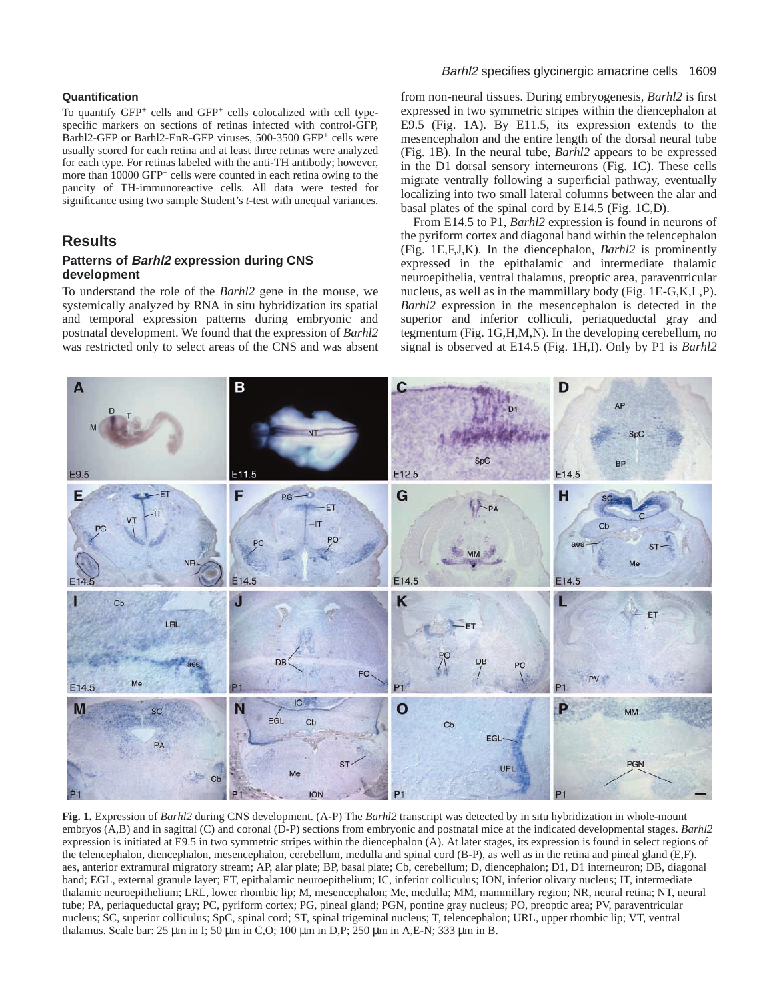#### **Quantification**

To quantify GFP<sup>+</sup> cells and GFP+ cells colocalized with cell typespecific markers on sections of retinas infected with control-GFP, Barhl2-GFP or Barhl2-EnR-GFP viruses, 500-3500 GFP<sup>+</sup> cells were usually scored for each retina and at least three retinas were analyzed for each type. For retinas labeled with the anti-TH antibody; however, more than 10000 GFP<sup>+</sup> cells were counted in each retina owing to the paucity of TH-immunoreactive cells. All data were tested for significance using two sample Student's *t*-test with unequal variances.

## **Results**

## **Patterns of Barhl2 expression during CNS development**

To understand the role of the *Barhl2* gene in the mouse, we systemically analyzed by RNA in situ hybridization its spatial and temporal expression patterns during embryonic and postnatal development. We found that the expression of *Barhl2* was restricted only to select areas of the CNS and was absent

## Barhl2 specifies glycinergic amacrine cells 1609

from non-neural tissues. During embryogenesis, *Barhl2* is first expressed in two symmetric stripes within the diencephalon at E9.5 (Fig. 1A). By E11.5, its expression extends to the mesencephalon and the entire length of the dorsal neural tube (Fig. 1B). In the neural tube, *Barhl2* appears to be expressed in the D1 dorsal sensory interneurons (Fig. 1C). These cells migrate ventrally following a superficial pathway, eventually localizing into two small lateral columns between the alar and basal plates of the spinal cord by E14.5 (Fig. 1C,D).

From E14.5 to P1, *Barhl2* expression is found in neurons of the pyriform cortex and diagonal band within the telencephalon (Fig. 1E,F,J,K). In the diencephalon, *Barhl2* is prominently expressed in the epithalamic and intermediate thalamic neuroepithelia, ventral thalamus, preoptic area, paraventricular nucleus, as well as in the mammillary body (Fig. 1E-G,K,L,P). *Barhl2* expression in the mesencephalon is detected in the superior and inferior colliculi, periaqueductal gray and tegmentum (Fig. 1G,H,M,N). In the developing cerebellum, no signal is observed at E14.5 (Fig. 1H,I). Only by P1 is *Barhl2*



**Fig. 1.** Expression of *Barhl2* during CNS development. (A-P) The *Barhl2* transcript was detected by in situ hybridization in whole-mount embryos (A,B) and in sagittal (C) and coronal (D-P) sections from embryonic and postnatal mice at the indicated developmental stages. *Barhl2* expression is initiated at E9.5 in two symmetric stripes within the diencephalon (A). At later stages, its expression is found in select regions of the telencephalon, diencephalon, mesencephalon, cerebellum, medulla and spinal cord (B-P), as well as in the retina and pineal gland (E,F). aes, anterior extramural migratory stream; AP, alar plate; BP, basal plate; Cb, cerebellum; D, diencephalon; D1, D1 interneuron; DB, diagonal band; EGL, external granule layer; ET, epithalamic neuroepithelium; IC, inferior colliculus; ION, inferior olivary nucleus; IT, intermediate thalamic neuroepithelium; LRL, lower rhombic lip; M, mesencephalon; Me, medulla; MM, mammillary region; NR, neural retina; NT, neural tube; PA, periaqueductal gray; PC, pyriform cortex; PG, pineal gland; PGN, pontine gray nucleus; PO, preoptic area; PV, paraventricular nucleus; SC, superior colliculus; SpC, spinal cord; ST, spinal trigeminal nucleus; T, telencephalon; URL, upper rhombic lip; VT, ventral thalamus. Scale bar: 25 µm in I; 50 µm in C,O; 100 µm in D,P; 250 µm in A,E-N; 333 µm in B.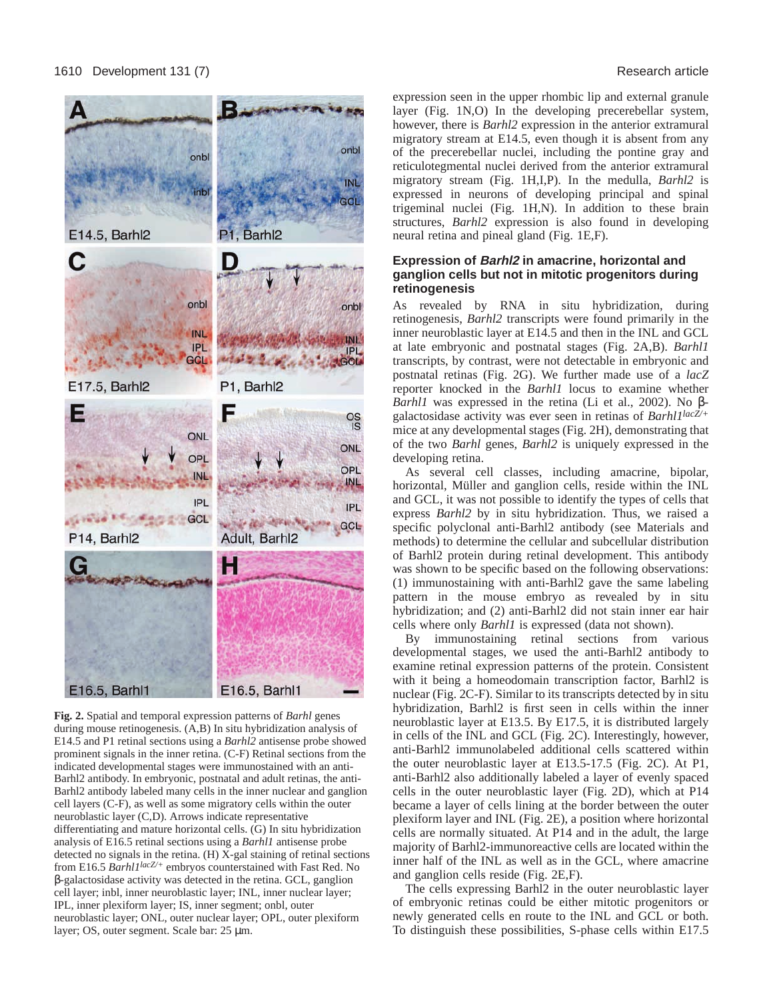

**Fig. 2.** Spatial and temporal expression patterns of *Barhl* genes during mouse retinogenesis. (A,B) In situ hybridization analysis of E14.5 and P1 retinal sections using a *Barhl2* antisense probe showed prominent signals in the inner retina. (C-F) Retinal sections from the indicated developmental stages were immunostained with an anti-Barhl2 antibody. In embryonic, postnatal and adult retinas, the anti-Barhl2 antibody labeled many cells in the inner nuclear and ganglion cell layers (C-F), as well as some migratory cells within the outer neuroblastic layer (C,D). Arrows indicate representative differentiating and mature horizontal cells. (G) In situ hybridization analysis of E16.5 retinal sections using a *Barhl1* antisense probe detected no signals in the retina. (H) X-gal staining of retinal sections from E16.5 *Barhl1lacZ/+* embryos counterstained with Fast Red. No β-galactosidase activity was detected in the retina. GCL, ganglion cell layer; inbl, inner neuroblastic layer; INL, inner nuclear layer; IPL, inner plexiform layer; IS, inner segment; onbl, outer neuroblastic layer; ONL, outer nuclear layer; OPL, outer plexiform layer; OS, outer segment. Scale bar: 25 µm.

expression seen in the upper rhombic lip and external granule layer (Fig. 1N,O) In the developing precerebellar system, however, there is *Barhl2* expression in the anterior extramural migratory stream at E14.5, even though it is absent from any of the precerebellar nuclei, including the pontine gray and reticulotegmental nuclei derived from the anterior extramural migratory stream (Fig. 1H,I,P). In the medulla, *Barhl2* is expressed in neurons of developing principal and spinal trigeminal nuclei (Fig. 1H,N). In addition to these brain structures, *Barhl2* expression is also found in developing neural retina and pineal gland (Fig. 1E,F).

### **Expression of Barhl2 in amacrine, horizontal and ganglion cells but not in mitotic progenitors during retinogenesis**

As revealed by RNA in situ hybridization, during retinogenesis, *Barhl2* transcripts were found primarily in the inner neuroblastic layer at E14.5 and then in the INL and GCL at late embryonic and postnatal stages (Fig. 2A,B). *Barhl1* transcripts, by contrast, were not detectable in embryonic and postnatal retinas (Fig. 2G). We further made use of a *lacZ* reporter knocked in the *Barhl1* locus to examine whether *Barhl1* was expressed in the retina (Li et al., 2002). No βgalactosidase activity was ever seen in retinas of *Barhl1lacZ/+* mice at any developmental stages (Fig. 2H), demonstrating that of the two *Barhl* genes, *Barhl2* is uniquely expressed in the developing retina.

As several cell classes, including amacrine, bipolar, horizontal, Müller and ganglion cells, reside within the INL and GCL, it was not possible to identify the types of cells that express *Barhl2* by in situ hybridization. Thus, we raised a specific polyclonal anti-Barhl2 antibody (see Materials and methods) to determine the cellular and subcellular distribution of Barhl2 protein during retinal development. This antibody was shown to be specific based on the following observations: (1) immunostaining with anti-Barhl2 gave the same labeling pattern in the mouse embryo as revealed by in situ hybridization; and (2) anti-Barhl2 did not stain inner ear hair cells where only *Barhl1* is expressed (data not shown).

By immunostaining retinal sections from various developmental stages, we used the anti-Barhl2 antibody to examine retinal expression patterns of the protein. Consistent with it being a homeodomain transcription factor, Barhl2 is nuclear (Fig. 2C-F). Similar to its transcripts detected by in situ hybridization, Barhl2 is first seen in cells within the inner neuroblastic layer at E13.5. By E17.5, it is distributed largely in cells of the INL and GCL (Fig. 2C). Interestingly, however, anti-Barhl2 immunolabeled additional cells scattered within the outer neuroblastic layer at E13.5-17.5 (Fig. 2C). At P1, anti-Barhl2 also additionally labeled a layer of evenly spaced cells in the outer neuroblastic layer (Fig. 2D), which at P14 became a layer of cells lining at the border between the outer plexiform layer and INL (Fig. 2E), a position where horizontal cells are normally situated. At P14 and in the adult, the large majority of Barhl2-immunoreactive cells are located within the inner half of the INL as well as in the GCL, where amacrine and ganglion cells reside (Fig. 2E,F).

The cells expressing Barhl2 in the outer neuroblastic layer of embryonic retinas could be either mitotic progenitors or newly generated cells en route to the INL and GCL or both. To distinguish these possibilities, S-phase cells within E17.5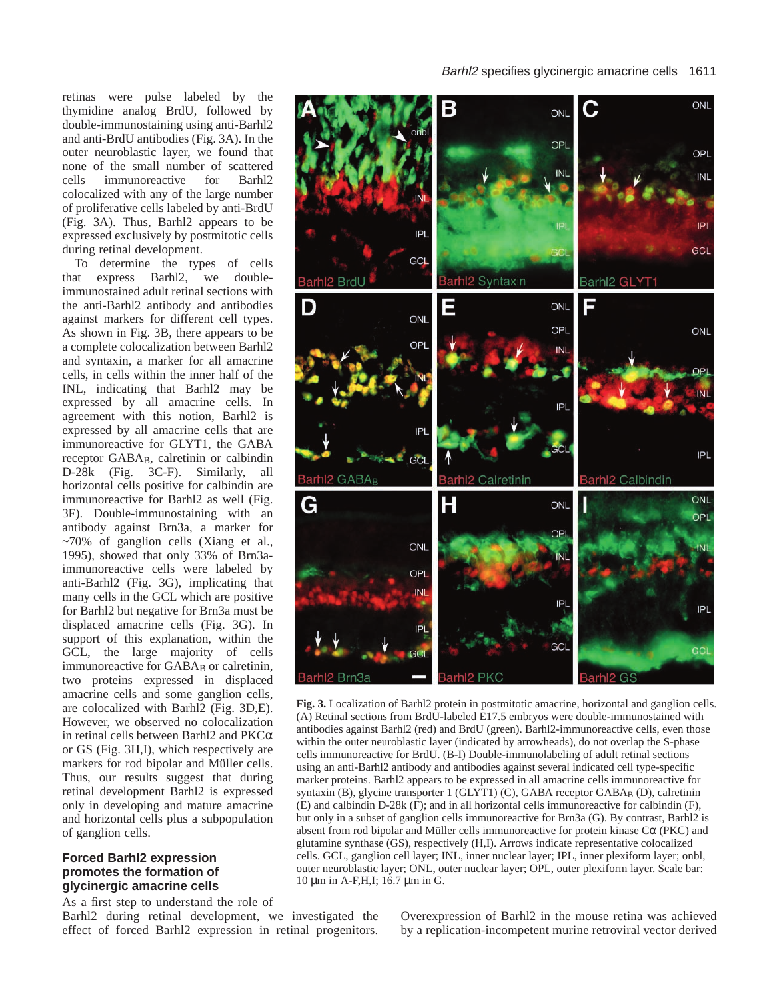#### Barhl2 specifies glycinergic amacrine cells 1611

retinas were pulse labeled by the thymidine analog BrdU, followed by double-immunostaining using anti-Barhl2 and anti-BrdU antibodies (Fig. 3A). In the outer neuroblastic layer, we found that none of the small number of scattered cells immunoreactive for Barhl2 colocalized with any of the large number of proliferative cells labeled by anti-BrdU (Fig. 3A). Thus, Barhl2 appears to be expressed exclusively by postmitotic cells during retinal development.

To determine the types of cells that express Barhl2, we doubleimmunostained adult retinal sections with the anti-Barhl2 antibody and antibodies against markers for different cell types. As shown in Fig. 3B, there appears to be a complete colocalization between Barhl2 and syntaxin, a marker for all amacrine cells, in cells within the inner half of the INL, indicating that Barhl2 may be expressed by all amacrine cells. In agreement with this notion, Barhl2 is expressed by all amacrine cells that are immunoreactive for GLYT1, the GABA receptor GABA<sub>B</sub>, calretinin or calbindin D-28k (Fig. 3C-F). Similarly, all horizontal cells positive for calbindin are immunoreactive for Barhl2 as well (Fig. 3F). Double-immunostaining with an antibody against Brn3a, a marker for ~70% of ganglion cells (Xiang et al., 1995), showed that only 33% of Brn3aimmunoreactive cells were labeled by anti-Barhl2 (Fig. 3G), implicating that many cells in the GCL which are positive for Barhl2 but negative for Brn3a must be displaced amacrine cells (Fig. 3G). In support of this explanation, within the GCL, the large majority of cells immunoreactive for GABA<sub>B</sub> or calretinin, two proteins expressed in displaced amacrine cells and some ganglion cells, are colocalized with Barhl2 (Fig. 3D,E). However, we observed no colocalization in retinal cells between Barhl2 and PKCα or GS (Fig. 3H,I), which respectively are markers for rod bipolar and Müller cells. Thus, our results suggest that during retinal development Barhl2 is expressed only in developing and mature amacrine and horizontal cells plus a subpopulation of ganglion cells.

## **Forced Barhl2 expression promotes the formation of glycinergic amacrine cells**

As a first step to understand the role of

Barhl2 during retinal development, we investigated the effect of forced Barhl2 expression in retinal progenitors.



**Fig. 3.** Localization of Barhl2 protein in postmitotic amacrine, horizontal and ganglion cells. (A) Retinal sections from BrdU-labeled E17.5 embryos were double-immunostained with antibodies against Barhl2 (red) and BrdU (green). Barhl2-immunoreactive cells, even those within the outer neuroblastic layer (indicated by arrowheads), do not overlap the S-phase cells immunoreactive for BrdU. (B-I) Double-immunolabeling of adult retinal sections using an anti-Barhl2 antibody and antibodies against several indicated cell type-specific marker proteins. Barhl2 appears to be expressed in all amacrine cells immunoreactive for syntaxin (B), glycine transporter 1 (GLYT1) (C), GABA receptor GABAB (D), calretinin (E) and calbindin D-28k (F); and in all horizontal cells immunoreactive for calbindin (F), but only in a subset of ganglion cells immunoreactive for Brn3a (G). By contrast, Barhl2 is absent from rod bipolar and Müller cells immunoreactive for protein kinase  $C\alpha$  (PKC) and glutamine synthase (GS), respectively (H,I). Arrows indicate representative colocalized cells. GCL, ganglion cell layer; INL, inner nuclear layer; IPL, inner plexiform layer; onbl, outer neuroblastic layer; ONL, outer nuclear layer; OPL, outer plexiform layer. Scale bar: 10 µm in A-F,H,I; 16.7 µm in G.

Overexpression of Barhl2 in the mouse retina was achieved by a replication-incompetent murine retroviral vector derived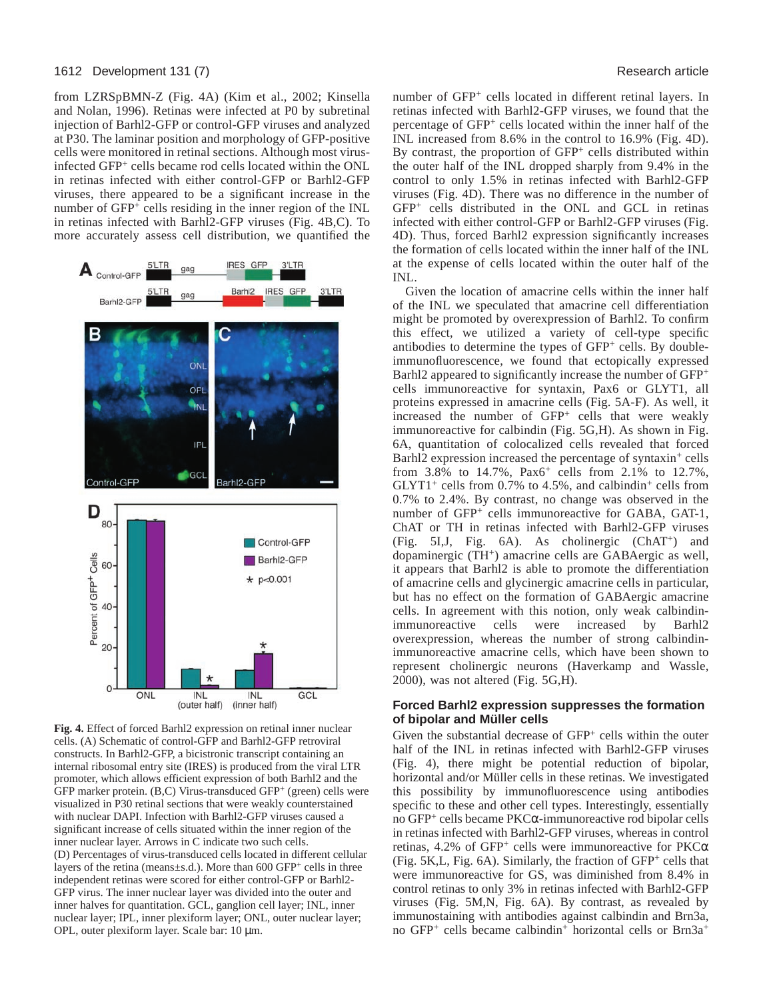#### 1612 Development 131 (7) Research article

from LZRSpBMN-Z (Fig. 4A) (Kim et al., 2002; Kinsella and Nolan, 1996). Retinas were infected at P0 by subretinal injection of Barhl2-GFP or control-GFP viruses and analyzed at P30. The laminar position and morphology of GFP-positive cells were monitored in retinal sections. Although most virusinfected GFP<sup>+</sup> cells became rod cells located within the ONL in retinas infected with either control-GFP or Barhl2-GFP viruses, there appeared to be a significant increase in the number of GFP<sup>+</sup> cells residing in the inner region of the INL in retinas infected with Barhl2-GFP viruses (Fig. 4B,C). To more accurately assess cell distribution, we quantified the



**Fig. 4.** Effect of forced Barhl2 expression on retinal inner nuclear cells. (A) Schematic of control-GFP and Barhl2-GFP retroviral constructs. In Barhl2-GFP, a bicistronic transcript containing an internal ribosomal entry site (IRES) is produced from the viral LTR promoter, which allows efficient expression of both Barhl2 and the GFP marker protein. (B,C) Virus-transduced GFP<sup>+</sup> (green) cells were visualized in P30 retinal sections that were weakly counterstained with nuclear DAPI. Infection with Barhl2-GFP viruses caused a significant increase of cells situated within the inner region of the inner nuclear layer. Arrows in C indicate two such cells. (D) Percentages of virus-transduced cells located in different cellular layers of the retina (means $\pm$ s.d.). More than 600 GFP<sup>+</sup> cells in three independent retinas were scored for either control-GFP or Barhl2- GFP virus. The inner nuclear layer was divided into the outer and inner halves for quantitation. GCL, ganglion cell layer; INL, inner nuclear layer; IPL, inner plexiform layer; ONL, outer nuclear layer; OPL, outer plexiform layer. Scale bar: 10 µm.

number of GFP<sup>+</sup> cells located in different retinal layers. In retinas infected with Barhl2-GFP viruses, we found that the percentage of GFP<sup>+</sup> cells located within the inner half of the INL increased from 8.6% in the control to 16.9% (Fig. 4D). By contrast, the proportion of GFP<sup>+</sup> cells distributed within the outer half of the INL dropped sharply from 9.4% in the control to only 1.5% in retinas infected with Barhl2-GFP viruses (Fig. 4D). There was no difference in the number of GFP<sup>+</sup> cells distributed in the ONL and GCL in retinas infected with either control-GFP or Barhl2-GFP viruses (Fig. 4D). Thus, forced Barhl2 expression significantly increases the formation of cells located within the inner half of the INL at the expense of cells located within the outer half of the INL.

Given the location of amacrine cells within the inner half of the INL we speculated that amacrine cell differentiation might be promoted by overexpression of Barhl2. To confirm this effect, we utilized a variety of cell-type specific antibodies to determine the types of GFP<sup>+</sup> cells. By doubleimmunofluorescence, we found that ectopically expressed Barhl2 appeared to significantly increase the number of GFP<sup>+</sup> cells immunoreactive for syntaxin, Pax6 or GLYT1, all proteins expressed in amacrine cells (Fig. 5A-F). As well, it increased the number of GFP<sup>+</sup> cells that were weakly immunoreactive for calbindin (Fig. 5G,H). As shown in Fig. 6A, quantitation of colocalized cells revealed that forced Barhl2 expression increased the percentage of syntaxin<sup>+</sup> cells from 3.8% to 14.7%, Pax6<sup>+</sup> cells from 2.1% to 12.7%,  $GLYT1<sup>+</sup>$  cells from 0.7% to 4.5%, and calbindin<sup>+</sup> cells from 0.7% to 2.4%. By contrast, no change was observed in the number of GFP<sup>+</sup> cells immunoreactive for GABA, GAT-1, ChAT or TH in retinas infected with Barhl2-GFP viruses (Fig. 5I,J, Fig. 6A). As cholinergic (ChAT+) and dopaminergic (TH+) amacrine cells are GABAergic as well, it appears that Barhl2 is able to promote the differentiation of amacrine cells and glycinergic amacrine cells in particular, but has no effect on the formation of GABAergic amacrine cells. In agreement with this notion, only weak calbindinimmunoreactive cells were increased by Barhl2 overexpression, whereas the number of strong calbindinimmunoreactive amacrine cells, which have been shown to represent cholinergic neurons (Haverkamp and Wassle, 2000), was not altered (Fig. 5G,H).

#### **Forced Barhl2 expression suppresses the formation of bipolar and Müller cells**

Given the substantial decrease of GFP<sup>+</sup> cells within the outer half of the INL in retinas infected with Barhl2-GFP viruses (Fig. 4), there might be potential reduction of bipolar, horizontal and/or Müller cells in these retinas. We investigated this possibility by immunofluorescence using antibodies specific to these and other cell types. Interestingly, essentially no GFP+ cells became PKCα-immunoreactive rod bipolar cells in retinas infected with Barhl2-GFP viruses, whereas in control retinas, 4.2% of GFP<sup>+</sup> cells were immunoreactive for  $PKC\alpha$ (Fig. 5K,L, Fig. 6A). Similarly, the fraction of GFP<sup>+</sup> cells that were immunoreactive for GS, was diminished from 8.4% in control retinas to only 3% in retinas infected with Barhl2-GFP viruses (Fig. 5M,N, Fig. 6A). By contrast, as revealed by immunostaining with antibodies against calbindin and Brn3a, no GFP<sup>+</sup> cells became calbindin<sup>+</sup> horizontal cells or Brn3a<sup>+</sup>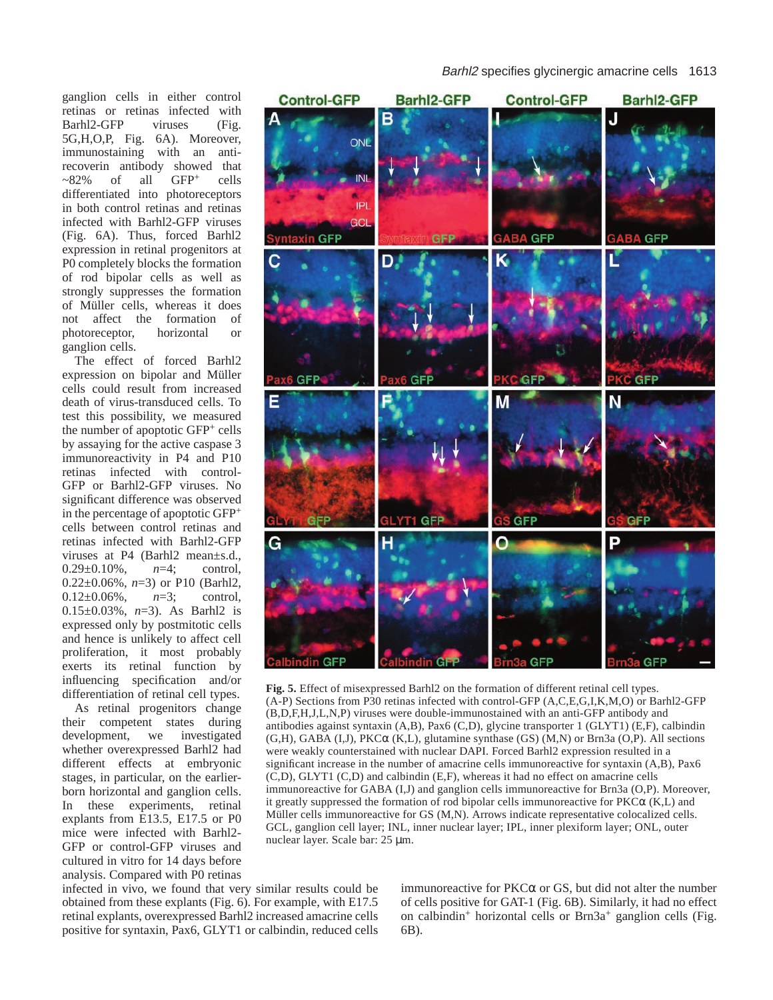ganglion cells in either control retinas or retinas infected with Barhl2-GFP viruses (Fig. 5G,H,O,P, Fig. 6A). Moreover, immunostaining with an antirecoverin antibody showed that  $\sim$ 82% of all GFP<sup>+</sup> cells differentiated into photoreceptors in both control retinas and retinas infected with Barhl2-GFP viruses (Fig. 6A). Thus, forced Barhl2 expression in retinal progenitors at P0 completely blocks the formation of rod bipolar cells as well as strongly suppresses the formation of Müller cells, whereas it does not affect the formation of photoreceptor, horizontal or ganglion cells.

The effect of forced Barhl2 expression on bipolar and Müller cells could result from increased death of virus-transduced cells. To test this possibility, we measured the number of apoptotic GFP<sup>+</sup> cells by assaying for the active caspase 3 immunoreactivity in P4 and P10 retinas infected with control-GFP or Barhl2-GFP viruses. No significant difference was observed in the percentage of apoptotic GFP<sup>+</sup> cells between control retinas and retinas infected with Barhl2-GFP viruses at P4 (Barhl2 mean±s.d., 0.29±0.10%, *n*=4; control, 0.22±0.06%, *n*=3) or P10 (Barhl2, 0.12±0.06%, *n*=3; control, 0.15±0.03%, *n*=3). As Barhl2 is expressed only by postmitotic cells and hence is unlikely to affect cell proliferation, it most probably exerts its retinal function by influencing specification and/or differentiation of retinal cell types.

As retinal progenitors change their competent states during development, we investigated whether overexpressed Barhl2 had different effects at embryonic stages, in particular, on the earlierborn horizontal and ganglion cells. In these experiments, retinal explants from E13.5, E17.5 or P0 mice were infected with Barhl2- GFP or control-GFP viruses and cultured in vitro for 14 days before analysis. Compared with P0 retinas

infected in vivo, we found that very similar results could be obtained from these explants (Fig. 6). For example, with E17.5 retinal explants, overexpressed Barhl2 increased amacrine cells positive for syntaxin, Pax6, GLYT1 or calbindin, reduced cells Barhl2 specifies glycinergic amacrine cells 1613



**Fig. 5.** Effect of misexpressed Barhl2 on the formation of different retinal cell types. (A-P) Sections from P30 retinas infected with control-GFP (A,C,E,G,I,K,M,O) or Barhl2-GFP (B,D,F,H,J,L,N,P) viruses were double-immunostained with an anti-GFP antibody and antibodies against syntaxin (A,B), Pax6 (C,D), glycine transporter 1 (GLYT1) (E,F), calbindin (G,H), GABA (I,J), PKCα (K,L), glutamine synthase (GS) (M,N) or Brn3a (O,P). All sections were weakly counterstained with nuclear DAPI. Forced Barhl2 expression resulted in a significant increase in the number of amacrine cells immunoreactive for syntaxin (A,B), Pax6 (C,D), GLYT1 (C,D) and calbindin (E,F), whereas it had no effect on amacrine cells immunoreactive for GABA (I,J) and ganglion cells immunoreactive for Brn3a (O,P). Moreover, it greatly suppressed the formation of rod bipolar cells immunoreactive for  $PKC\alpha$  (K,L) and Müller cells immunoreactive for GS (M,N). Arrows indicate representative colocalized cells. GCL, ganglion cell layer; INL, inner nuclear layer; IPL, inner plexiform layer; ONL, outer nuclear layer. Scale bar: 25 µm.

immunoreactive for  $PKC\alpha$  or GS, but did not alter the number of cells positive for GAT-1 (Fig. 6B). Similarly, it had no effect on calbindin<sup>+</sup> horizontal cells or Brn3a+ ganglion cells (Fig. 6B).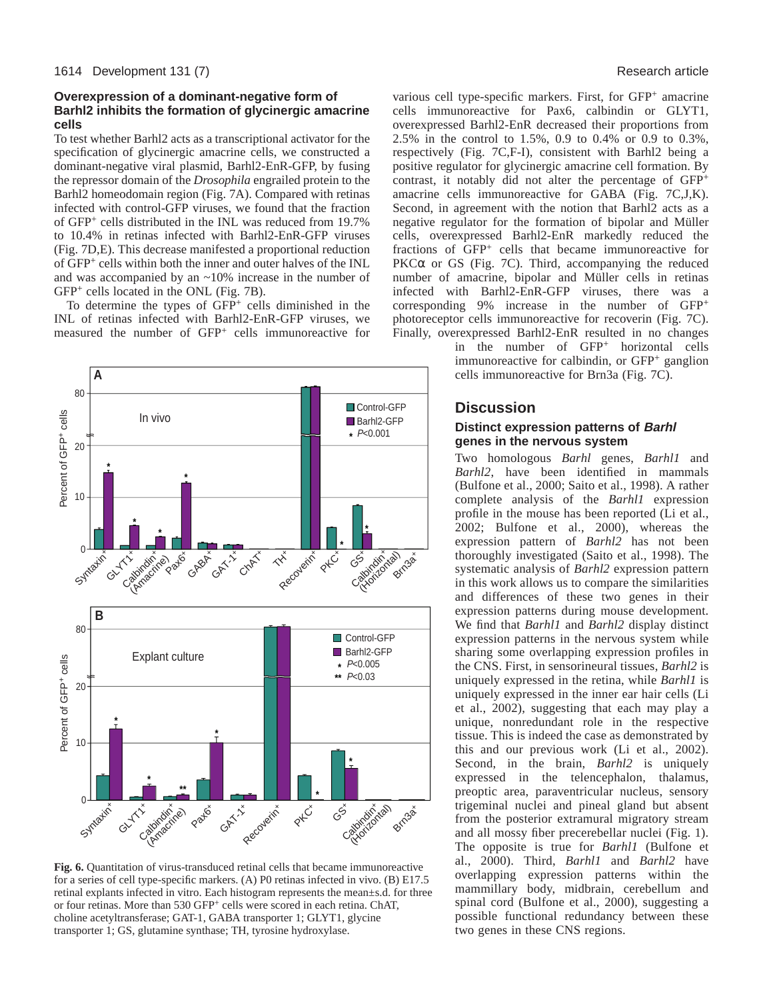## **Overexpression of a dominant-negative form of Barhl2 inhibits the formation of glycinergic amacrine cells**

To test whether Barhl2 acts as a transcriptional activator for the specification of glycinergic amacrine cells, we constructed a dominant-negative viral plasmid, Barhl2-EnR-GFP, by fusing the repressor domain of the *Drosophila* engrailed protein to the Barhl2 homeodomain region (Fig. 7A). Compared with retinas infected with control-GFP viruses, we found that the fraction of GFP<sup>+</sup> cells distributed in the INL was reduced from 19.7% to 10.4% in retinas infected with Barhl2-EnR-GFP viruses (Fig. 7D,E). This decrease manifested a proportional reduction of GFP+ cells within both the inner and outer halves of the INL and was accompanied by an ~10% increase in the number of GFP+ cells located in the ONL (Fig. 7B).

To determine the types of  $GFP^+$  cells diminished in the INL of retinas infected with Barhl2-EnR-GFP viruses, we measured the number of GFP<sup>+</sup> cells immunoreactive for



**Fig. 6.** Quantitation of virus-transduced retinal cells that became immunoreactive for a series of cell type-specific markers. (A) P0 retinas infected in vivo. (B) E17.5 retinal explants infected in vitro. Each histogram represents the mean±s.d. for three or four retinas. More than 530 GFP+ cells were scored in each retina. ChAT, choline acetyltransferase; GAT-1, GABA transporter 1; GLYT1, glycine transporter 1; GS, glutamine synthase; TH, tyrosine hydroxylase.

various cell type-specific markers. First, for GFP<sup>+</sup> amacrine cells immunoreactive for Pax6, calbindin or GLYT1, overexpressed Barhl2-EnR decreased their proportions from 2.5% in the control to 1.5%, 0.9 to 0.4% or 0.9 to 0.3%, respectively (Fig. 7C,F-I), consistent with Barhl2 being a positive regulator for glycinergic amacrine cell formation. By contrast, it notably did not alter the percentage of GFP+ amacrine cells immunoreactive for GABA (Fig. 7C,J,K). Second, in agreement with the notion that Barhl2 acts as a negative regulator for the formation of bipolar and Müller cells, overexpressed Barhl2-EnR markedly reduced the fractions of GFP<sup>+</sup> cells that became immunoreactive for PKC $\alpha$  or GS (Fig. 7C). Third, accompanying the reduced number of amacrine, bipolar and Müller cells in retinas infected with Barhl2-EnR-GFP viruses, there was a corresponding 9% increase in the number of GFP<sup>+</sup> photoreceptor cells immunoreactive for recoverin (Fig. 7C). Finally, overexpressed Barhl2-EnR resulted in no changes

> in the number of GFP<sup>+</sup> horizontal cells immunoreactive for calbindin, or GFP<sup>+</sup> ganglion cells immunoreactive for Brn3a (Fig. 7C).

# **Discussion**

## **Distinct expression patterns of Barhl genes in the nervous system**

Two homologous *Barhl* genes, *Barhl1* and *Barhl2*, have been identified in mammals (Bulfone et al., 2000; Saito et al., 1998). A rather complete analysis of the *Barhl1* expression profile in the mouse has been reported (Li et al., 2002; Bulfone et al., 2000), whereas the expression pattern of *Barhl2* has not been thoroughly investigated (Saito et al., 1998). The systematic analysis of *Barhl2* expression pattern in this work allows us to compare the similarities and differences of these two genes in their expression patterns during mouse development. We find that *Barhl1* and *Barhl2* display distinct expression patterns in the nervous system while sharing some overlapping expression profiles in the CNS. First, in sensorineural tissues, *Barhl2* is uniquely expressed in the retina, while *Barhl1* is uniquely expressed in the inner ear hair cells (Li et al., 2002), suggesting that each may play a unique, nonredundant role in the respective tissue. This is indeed the case as demonstrated by this and our previous work (Li et al., 2002). Second, in the brain, *Barhl2* is uniquely expressed in the telencephalon, thalamus, preoptic area, paraventricular nucleus, sensory trigeminal nuclei and pineal gland but absent from the posterior extramural migratory stream and all mossy fiber precerebellar nuclei (Fig. 1). The opposite is true for *Barhl1* (Bulfone et al., 2000). Third, *Barhl1* and *Barhl2* have overlapping expression patterns within the mammillary body, midbrain, cerebellum and spinal cord (Bulfone et al., 2000), suggesting a possible functional redundancy between these two genes in these CNS regions.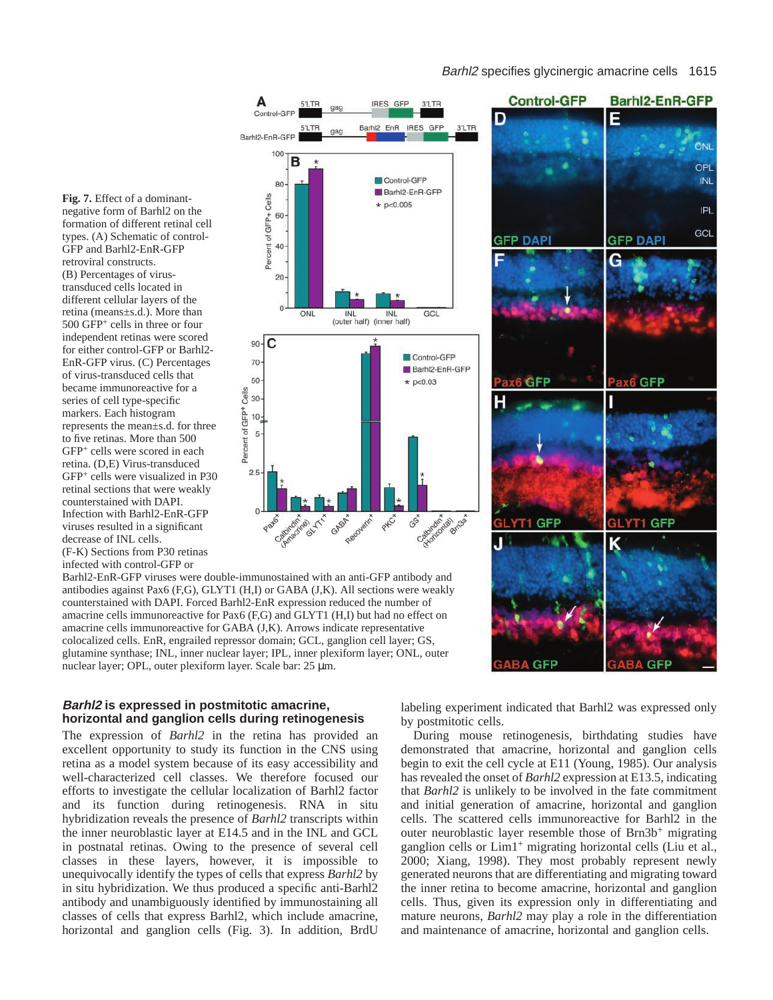#### Barhl2 specifies glycinergic amacrine cells 1615





negative form of Barhl2 on the formation of different retinal cell types. (A) Schematic of control-GFP and Barhl2-EnR-GFP retroviral constructs. (B) Percentages of virustransduced cells located in different cellular layers of the retina (means±s.d.). More than 500 GFP+ cells in three or four independent retinas were scored for either control-GFP or Barhl2- EnR-GFP virus. (C) Percentages of virus-transduced cells that became immunoreactive for a series of cell type-specific markers. Each histogram represents the mean±s.d. for three to five retinas. More than 500 GFP+ cells were scored in each retina. (D,E) Virus-transduced GFP+ cells were visualized in P30 retinal sections that were weakly counterstained with DAPI. Infection with Barhl2-EnR-GFP viruses resulted in a significant decrease of INL cells.

**Fig. 7.** Effect of a dominant-

(F-K) Sections from P30 retinas infected with control-GFP or

Barhl2-EnR-GFP viruses were double-immunostained with an anti-GFP antibody and antibodies against Pax6 (F,G), GLYT1 (H,I) or GABA (J,K). All sections were weakly counterstained with DAPI. Forced Barhl2-EnR expression reduced the number of amacrine cells immunoreactive for Pax6 (F,G) and GLYT1 (H,I) but had no effect on amacrine cells immunoreactive for GABA (J,K). Arrows indicate representative colocalized cells. EnR, engrailed repressor domain; GCL, ganglion cell layer; GS, glutamine synthase; INL, inner nuclear layer; IPL, inner plexiform layer; ONL, outer nuclear layer; OPL, outer plexiform layer. Scale bar: 25 µm.

### **Barhl2 is expressed in postmitotic amacrine, horizontal and ganglion cells during retinogenesis**

The expression of *Barhl2* in the retina has provided an excellent opportunity to study its function in the CNS using retina as a model system because of its easy accessibility and well-characterized cell classes. We therefore focused our efforts to investigate the cellular localization of Barhl2 factor and its function during retinogenesis. RNA in situ hybridization reveals the presence of *Barhl2* transcripts within the inner neuroblastic layer at E14.5 and in the INL and GCL in postnatal retinas. Owing to the presence of several cell classes in these layers, however, it is impossible to unequivocally identify the types of cells that express *Barhl2* by in situ hybridization. We thus produced a specific anti-Barhl2 antibody and unambiguously identified by immunostaining all classes of cells that express Barhl2, which include amacrine, horizontal and ganglion cells (Fig. 3). In addition, BrdU labeling experiment indicated that Barhl2 was expressed only by postmitotic cells.

During mouse retinogenesis, birthdating studies have demonstrated that amacrine, horizontal and ganglion cells begin to exit the cell cycle at E11 (Young, 1985). Our analysis has revealed the onset of *Barhl2* expression at E13.5, indicating that *Barhl2* is unlikely to be involved in the fate commitment and initial generation of amacrine, horizontal and ganglion cells. The scattered cells immunoreactive for Barhl2 in the outer neuroblastic layer resemble those of Brn3b<sup>+</sup> migrating ganglion cells or Lim1+ migrating horizontal cells (Liu et al., 2000; Xiang, 1998). They most probably represent newly generated neurons that are differentiating and migrating toward the inner retina to become amacrine, horizontal and ganglion cells. Thus, given its expression only in differentiating and mature neurons, *Barhl2* may play a role in the differentiation and maintenance of amacrine, horizontal and ganglion cells.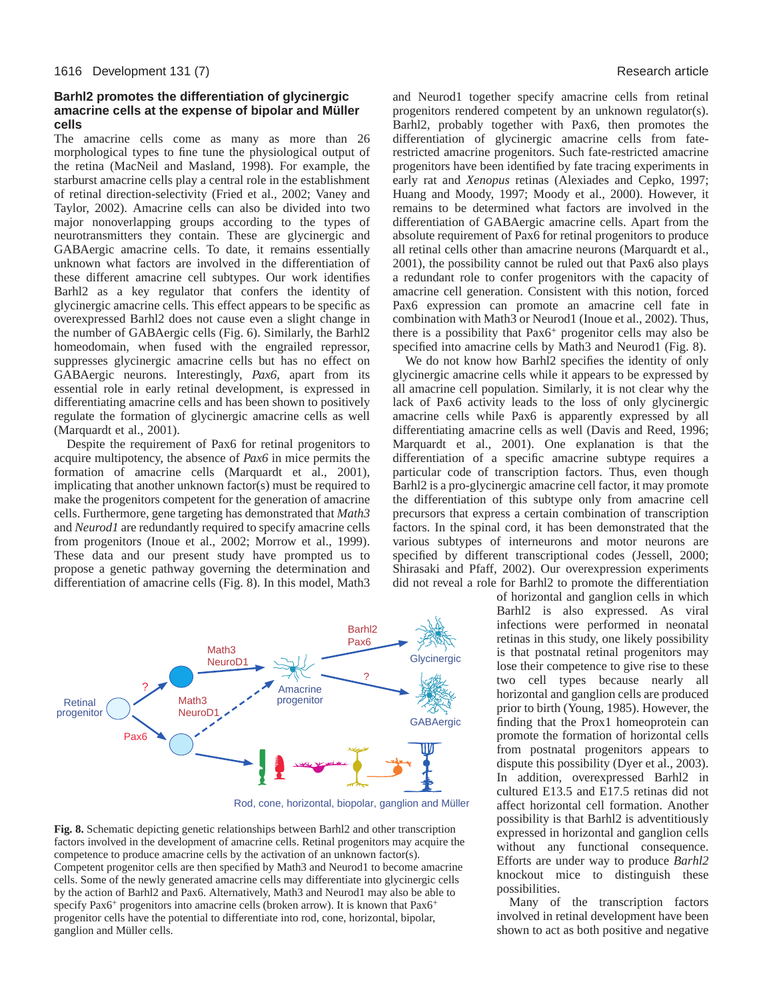## **Barhl2 promotes the differentiation of glycinergic amacrine cells at the expense of bipolar and Müller cells**

The amacrine cells come as many as more than 26 morphological types to fine tune the physiological output of the retina (MacNeil and Masland, 1998). For example, the starburst amacrine cells play a central role in the establishment of retinal direction-selectivity (Fried et al., 2002; Vaney and Taylor, 2002). Amacrine cells can also be divided into two major nonoverlapping groups according to the types of neurotransmitters they contain. These are glycinergic and GABAergic amacrine cells. To date, it remains essentially unknown what factors are involved in the differentiation of these different amacrine cell subtypes. Our work identifies Barhl2 as a key regulator that confers the identity of glycinergic amacrine cells. This effect appears to be specific as overexpressed Barhl2 does not cause even a slight change in the number of GABAergic cells (Fig. 6). Similarly, the Barhl2 homeodomain, when fused with the engrailed repressor, suppresses glycinergic amacrine cells but has no effect on GABAergic neurons. Interestingly, *Pax6*, apart from its essential role in early retinal development, is expressed in differentiating amacrine cells and has been shown to positively regulate the formation of glycinergic amacrine cells as well (Marquardt et al., 2001).

Despite the requirement of Pax6 for retinal progenitors to acquire multipotency, the absence of *Pax6* in mice permits the formation of amacrine cells (Marquardt et al., 2001), implicating that another unknown factor(s) must be required to make the progenitors competent for the generation of amacrine cells. Furthermore, gene targeting has demonstrated that *Math3* and *Neurod1* are redundantly required to specify amacrine cells from progenitors (Inoue et al., 2002; Morrow et al., 1999). These data and our present study have prompted us to propose a genetic pathway governing the determination and differentiation of amacrine cells (Fig. 8). In this model, Math3



Rod, cone, horizontal, biopolar, ganglion and Müller

**Fig. 8.** Schematic depicting genetic relationships between Barhl2 and other transcription factors involved in the development of amacrine cells. Retinal progenitors may acquire the competence to produce amacrine cells by the activation of an unknown factor(s). Competent progenitor cells are then specified by Math3 and Neurod1 to become amacrine cells. Some of the newly generated amacrine cells may differentiate into glycinergic cells by the action of Barhl2 and Pax6. Alternatively, Math3 and Neurod1 may also be able to specify Pax6<sup>+</sup> progenitors into amacrine cells (broken arrow). It is known that  $Pax6<sup>+</sup>$ progenitor cells have the potential to differentiate into rod, cone, horizontal, bipolar, ganglion and Müller cells.

and Neurod1 together specify amacrine cells from retinal progenitors rendered competent by an unknown regulator(s). Barhl2, probably together with Pax6, then promotes the differentiation of glycinergic amacrine cells from faterestricted amacrine progenitors. Such fate-restricted amacrine progenitors have been identified by fate tracing experiments in early rat and *Xenopus* retinas (Alexiades and Cepko, 1997; Huang and Moody, 1997; Moody et al., 2000). However, it remains to be determined what factors are involved in the differentiation of GABAergic amacrine cells. Apart from the absolute requirement of Pax6 for retinal progenitors to produce all retinal cells other than amacrine neurons (Marquardt et al., 2001), the possibility cannot be ruled out that Pax6 also plays a redundant role to confer progenitors with the capacity of amacrine cell generation. Consistent with this notion, forced Pax6 expression can promote an amacrine cell fate in combination with Math3 or Neurod1 (Inoue et al., 2002). Thus, there is a possibility that Pax6<sup>+</sup> progenitor cells may also be specified into amacrine cells by Math3 and Neurod1 (Fig. 8).

We do not know how Barhl2 specifies the identity of only glycinergic amacrine cells while it appears to be expressed by all amacrine cell population. Similarly, it is not clear why the lack of Pax6 activity leads to the loss of only glycinergic amacrine cells while Pax6 is apparently expressed by all differentiating amacrine cells as well (Davis and Reed, 1996; Marquardt et al., 2001). One explanation is that the differentiation of a specific amacrine subtype requires a particular code of transcription factors. Thus, even though Barhl2 is a pro-glycinergic amacrine cell factor, it may promote the differentiation of this subtype only from amacrine cell precursors that express a certain combination of transcription factors. In the spinal cord, it has been demonstrated that the various subtypes of interneurons and motor neurons are specified by different transcriptional codes (Jessell, 2000; Shirasaki and Pfaff, 2002). Our overexpression experiments did not reveal a role for Barhl2 to promote the differentiation

> of horizontal and ganglion cells in which Barhl2 is also expressed. As viral infections were performed in neonatal retinas in this study, one likely possibility is that postnatal retinal progenitors may lose their competence to give rise to these two cell types because nearly all horizontal and ganglion cells are produced prior to birth (Young, 1985). However, the finding that the Prox1 homeoprotein can promote the formation of horizontal cells from postnatal progenitors appears to dispute this possibility (Dyer et al., 2003). In addition, overexpressed Barhl2 in cultured E13.5 and E17.5 retinas did not affect horizontal cell formation. Another possibility is that Barhl2 is adventitiously expressed in horizontal and ganglion cells without any functional consequence. Efforts are under way to produce *Barhl2* knockout mice to distinguish these possibilities.

> Many of the transcription factors involved in retinal development have been shown to act as both positive and negative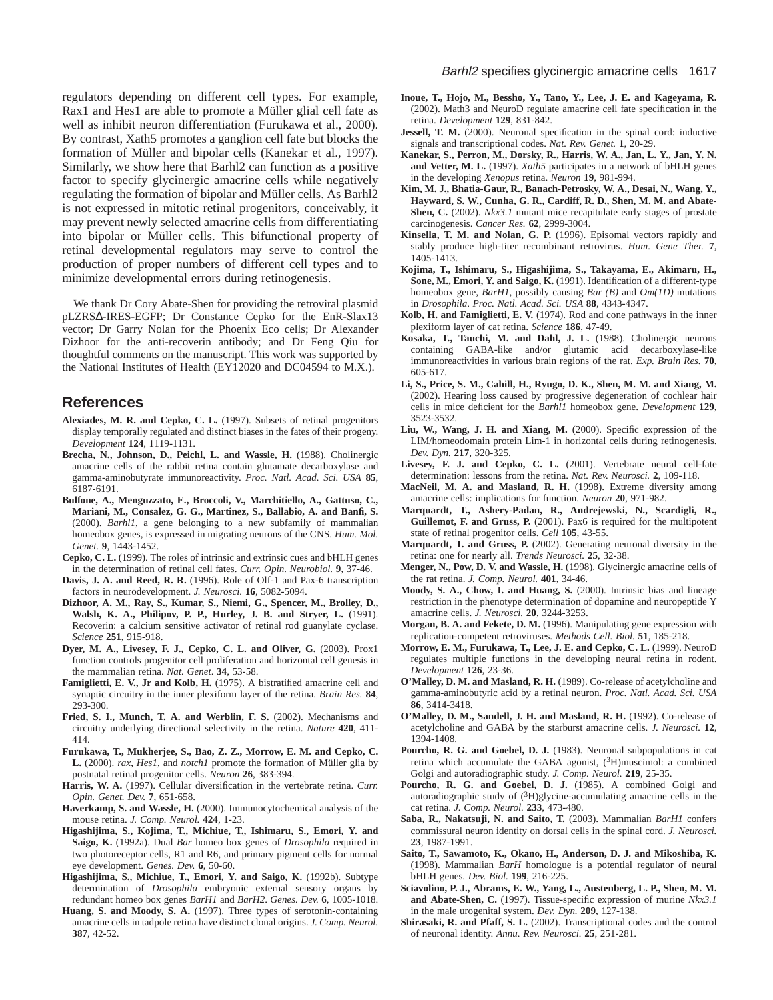regulators depending on different cell types. For example, Rax1 and Hes1 are able to promote a Müller glial cell fate as well as inhibit neuron differentiation (Furukawa et al., 2000). By contrast, Xath5 promotes a ganglion cell fate but blocks the formation of Müller and bipolar cells (Kanekar et al., 1997). Similarly, we show here that Barhl2 can function as a positive factor to specify glycinergic amacrine cells while negatively regulating the formation of bipolar and Müller cells. As Barhl2 is not expressed in mitotic retinal progenitors, conceivably, it may prevent newly selected amacrine cells from differentiating into bipolar or Müller cells. This bifunctional property of retinal developmental regulators may serve to control the production of proper numbers of different cell types and to minimize developmental errors during retinogenesis.

We thank Dr Cory Abate-Shen for providing the retroviral plasmid pLZRS∆-IRES-EGFP; Dr Constance Cepko for the EnR-Slax13 vector; Dr Garry Nolan for the Phoenix Eco cells; Dr Alexander Dizhoor for the anti-recoverin antibody; and Dr Feng Qiu for thoughtful comments on the manuscript. This work was supported by the National Institutes of Health (EY12020 and DC04594 to M.X.).

## **References**

- **Alexiades, M. R. and Cepko, C. L.** (1997). Subsets of retinal progenitors display temporally regulated and distinct biases in the fates of their progeny. *Development* **124**, 1119-1131.
- **Brecha, N., Johnson, D., Peichl, L. and Wassle, H.** (1988). Cholinergic amacrine cells of the rabbit retina contain glutamate decarboxylase and gamma-aminobutyrate immunoreactivity. *Proc. Natl. Acad. Sci. USA* **85**, 6187-6191.
- **Bulfone, A., Menguzzato, E., Broccoli, V., Marchitiello, A., Gattuso, C., Mariani, M., Consalez, G. G., Martinez, S., Ballabio, A. and Banfi, S.** (2000). *Barhl1*, a gene belonging to a new subfamily of mammalian homeobox genes, is expressed in migrating neurons of the CNS. *Hum. Mol. Genet.* **9**, 1443-1452.
- **Cepko, C. L.** (1999). The roles of intrinsic and extrinsic cues and bHLH genes in the determination of retinal cell fates. *Curr. Opin. Neurobiol.* **9**, 37-46.
- **Davis, J. A. and Reed, R. R.** (1996). Role of Olf-1 and Pax-6 transcription factors in neurodevelopment. *J. Neurosci.* **16**, 5082-5094.
- **Dizhoor, A. M., Ray, S., Kumar, S., Niemi, G., Spencer, M., Brolley, D., Walsh, K. A., Philipov, P. P., Hurley, J. B. and Stryer, L.** (1991). Recoverin: a calcium sensitive activator of retinal rod guanylate cyclase. *Science* **251**, 915-918.
- **Dyer, M. A., Livesey, F. J., Cepko, C. L. and Oliver, G.** (2003). Prox1 function controls progenitor cell proliferation and horizontal cell genesis in the mammalian retina. *Nat. Genet*. **34**, 53-58.
- **Famiglietti, E. V., Jr and Kolb, H.** (1975). A bistratified amacrine cell and synaptic circuitry in the inner plexiform layer of the retina. *Brain Res.* **84**, 293-300.
- **Fried, S. I., Munch, T. A. and Werblin, F. S.** (2002). Mechanisms and circuitry underlying directional selectivity in the retina. *Nature* **420**, 411- 414.
- **Furukawa, T., Mukherjee, S., Bao, Z. Z., Morrow, E. M. and Cepko, C. L.** (2000). *rax*, *Hes1*, and *notch1* promote the formation of Müller glia by postnatal retinal progenitor cells. *Neuron* **26**, 383-394.
- **Harris, W. A.** (1997). Cellular diversification in the vertebrate retina. *Curr. Opin. Genet. Dev.* **7**, 651-658.
- **Haverkamp, S. and Wassle, H.** (2000). Immunocytochemical analysis of the mouse retina. *J. Comp. Neurol.* **424**, 1-23.
- **Higashijima, S., Kojima, T., Michiue, T., Ishimaru, S., Emori, Y. and Saigo, K.** (1992a). Dual *Bar* homeo box genes of *Drosophila* required in two photoreceptor cells, R1 and R6, and primary pigment cells for normal eye development. *Genes. Dev.* **6**, 50-60.
- **Higashijima, S., Michiue, T., Emori, Y. and Saigo, K.** (1992b). Subtype determination of *Drosophila* embryonic external sensory organs by redundant homeo box genes *BarH1* and *BarH2*. *Genes. Dev.* **6**, 1005-1018.
- **Huang, S. and Moody, S. A.** (1997). Three types of serotonin-containing amacrine cells in tadpole retina have distinct clonal origins. *J. Comp. Neurol.* **387**, 42-52.
- **Inoue, T., Hojo, M., Bessho, Y., Tano, Y., Lee, J. E. and Kageyama, R.** (2002). Math3 and NeuroD regulate amacrine cell fate specification in the retina. *Development* **129**, 831-842.
- **Jessell, T. M.** (2000). Neuronal specification in the spinal cord: inductive signals and transcriptional codes. *Nat. Rev. Genet.* **1**, 20-29.
- **Kanekar, S., Perron, M., Dorsky, R., Harris, W. A., Jan, L. Y., Jan, Y. N. and Vetter, M. L.** (1997). *Xath5* participates in a network of bHLH genes in the developing *Xenopus* retina. *Neuron* **19**, 981-994.
- **Kim, M. J., Bhatia-Gaur, R., Banach-Petrosky, W. A., Desai, N., Wang, Y., Hayward, S. W., Cunha, G. R., Cardiff, R. D., Shen, M. M. and Abate-Shen, C.** (2002). *Nkx3.1* mutant mice recapitulate early stages of prostate carcinogenesis. *Cancer Res.* **62**, 2999-3004.
- **Kinsella, T. M. and Nolan, G. P.** (1996). Episomal vectors rapidly and stably produce high-titer recombinant retrovirus. *Hum. Gene Ther.* **7**, 1405-1413.
- **Kojima, T., Ishimaru, S., Higashijima, S., Takayama, E., Akimaru, H., Sone, M., Emori, Y. and Saigo, K.** (1991). Identification of a different-type homeobox gene, *BarH1*, possibly causing *Bar (B)* and *Om(1D)* mutations in *Drosophila*. *Proc. Natl. Acad. Sci. USA* **88**, 4343-4347.
- **Kolb, H. and Famiglietti, E. V.** (1974). Rod and cone pathways in the inner plexiform layer of cat retina. *Science* **186**, 47-49.
- **Kosaka, T., Tauchi, M. and Dahl, J. L.** (1988). Cholinergic neurons containing GABA-like and/or glutamic acid decarboxylase-like immunoreactivities in various brain regions of the rat. *Exp. Brain Res.* **70**, 605-617.
- **Li, S., Price, S. M., Cahill, H., Ryugo, D. K., Shen, M. M. and Xiang, M.** (2002). Hearing loss caused by progressive degeneration of cochlear hair cells in mice deficient for the *Barhl1* homeobox gene. *Development* **129**, 3523-3532.
- **Liu, W., Wang, J. H. and Xiang, M.** (2000). Specific expression of the LIM/homeodomain protein Lim-1 in horizontal cells during retinogenesis. *Dev. Dyn.* **217**, 320-325.
- **Livesey, F. J. and Cepko, C. L.** (2001). Vertebrate neural cell-fate determination: lessons from the retina. *Nat. Rev. Neurosci.* **2**, 109-118.
- **MacNeil, M. A. and Masland, R. H.** (1998). Extreme diversity among amacrine cells: implications for function. *Neuron* **20**, 971-982.
- **Marquardt, T., Ashery-Padan, R., Andrejewski, N., Scardigli, R., Guillemot, F. and Gruss, P.** (2001). Pax6 is required for the multipotent state of retinal progenitor cells. *Cell* **105**, 43-55.
- **Marquardt, T. and Gruss, P.** (2002). Generating neuronal diversity in the retina: one for nearly all. *Trends Neurosci.* **25**, 32-38.
- **Menger, N., Pow, D. V. and Wassle, H.** (1998). Glycinergic amacrine cells of the rat retina. *J. Comp. Neurol.* **401**, 34-46.
- **Moody, S. A., Chow, I. and Huang, S.** (2000). Intrinsic bias and lineage restriction in the phenotype determination of dopamine and neuropeptide Y amacrine cells. *J. Neurosci.* **20**, 3244-3253.
- **Morgan, B. A. and Fekete, D. M.** (1996). Manipulating gene expression with replication-competent retroviruses. *Methods Cell. Biol.* **51**, 185-218.
- **Morrow, E. M., Furukawa, T., Lee, J. E. and Cepko, C. L.** (1999). NeuroD regulates multiple functions in the developing neural retina in rodent. *Development* **126**, 23-36.
- **O'Malley, D. M. and Masland, R. H.** (1989). Co-release of acetylcholine and gamma-aminobutyric acid by a retinal neuron. *Proc. Natl. Acad. Sci. USA* **86**, 3414-3418.
- **O'Malley, D. M., Sandell, J. H. and Masland, R. H.** (1992). Co-release of acetylcholine and GABA by the starburst amacrine cells. *J. Neurosci.* **12**, 1394-1408.
- **Pourcho, R. G. and Goebel, D. J.** (1983). Neuronal subpopulations in cat retina which accumulate the GABA agonist, (3H)muscimol: a combined Golgi and autoradiographic study. *J. Comp. Neurol.* **219**, 25-35.
- **Pourcho, R. G. and Goebel, D. J.** (1985). A combined Golgi and autoradiographic study of  $({}^{3}H)$ glycine-accumulating amacrine cells in the cat retina. *J. Comp. Neurol.* **233**, 473-480.
- **Saba, R., Nakatsuji, N. and Saito, T.** (2003). Mammalian *BarH1* confers commissural neuron identity on dorsal cells in the spinal cord. *J. Neurosci.* **23**, 1987-1991.
- **Saito, T., Sawamoto, K., Okano, H., Anderson, D. J. and Mikoshiba, K.** (1998). Mammalian *BarH* homologue is a potential regulator of neural bHLH genes. *Dev. Biol.* **199**, 216-225.
- **Sciavolino, P. J., Abrams, E. W., Yang, L., Austenberg, L. P., Shen, M. M. and Abate-Shen, C.** (1997). Tissue-specific expression of murine *Nkx3.1* in the male urogenital system. *Dev. Dyn.* **209**, 127-138.
- **Shirasaki, R. and Pfaff, S. L.** (2002). Transcriptional codes and the control of neuronal identity. *Annu. Rev. Neurosci.* **25**, 251-281.